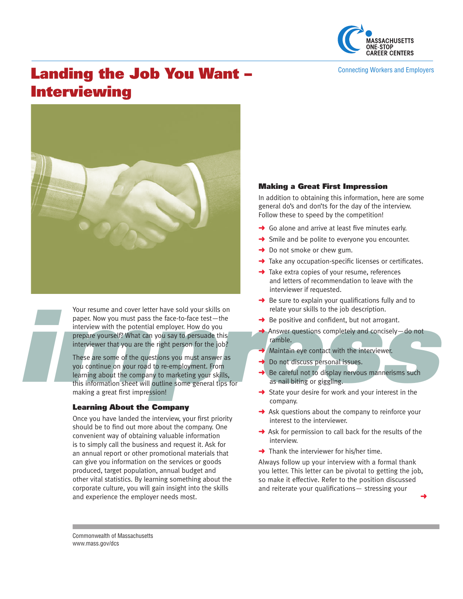

Connecting Workers and Employers

# Landing the Job You Want – **Interviewing**



Your resume and cover letter have sold your skills on paper. Now you must pass the face-to-face test—the interview with the potential employer. How do you prepare yourself? What can you say to persuade this interviewer that you are the right person for the job?

Your resume and cover letter have sold your skills on<br>
paper. Now you must pass the face-to-face test—the<br>
interview with the potential employer. How do you<br>
prepare yourself? What can you say to persuade this<br>
interviewe These are some of the questions you must answer as you continue on your road to re-employment. From learning about the company to marketing your skills, this information sheet will outline some general tips f or making a great first impression!

## Learning About the Company

Once you have landed the interview, your first priority should be to find out more about the company. One convenient way of obtaining valuable information is to simply call the business and request it. Ask for an annual report or other promotional materials that can give you information on the services or goods produced, target population, annual budget and other vital statistics. By learning something about the corporate culture, you will gain insight into the skills and experience the employer needs most.

## Making a Great First Impression

In addition to obtaining this information, here are some general do's and don'ts for the day of the interview. Follow these to speed by the competition!

- $\rightarrow$  Go alone and arrive at least five minutes early.
- $\rightarrow$  Smile and be polite to everyone you encounter.
- $\rightarrow$  Do not smoke or chew gum.
- $\rightarrow$  Take any occupation-specific licenses or certificates.
- $\rightarrow$  Take extra copies of your resume, references and letters of recommendation to leave with the interviewer if requested.
- $\rightarrow$  Be sure to explain your qualifications fully and to relate your skills to the job description.
- $\rightarrow$  Be positive and confident, but not arrogant.
- **→** Answer questions completely and concisely do not ramble.
- Maintain eye contact with the interviewer.
- ➜ Do not discuss personal issues.
- Be sale to explain your qualifications<br>
relate your skills to the job description<br> **→** Answer questions completely and corramble.<br>
<br> **→** Maintain eye contact with the intervier<br> **→** Do not discuss personal issues.<br>
→ Be Be careful not to display nervous mannerisms such as nail biting or giggling.
- $\rightarrow$  State your desire for work and your interest in the company.
- $\rightarrow$  Ask questions about the company to reinforce your interest to the interviewer.
- $\rightarrow$  Ask for permission to call back for the results of the interview.
- $\rightarrow$  Thank the interviewer for his/her time.

Always follow up your interview with a formal thank you letter. This letter can be pivotal to getting the job, so make it effective. Refer to the position discussed and reiterate your qualifications— stressing your

➜

Commonwealth of Massachusetts www.mass.gov/dcs